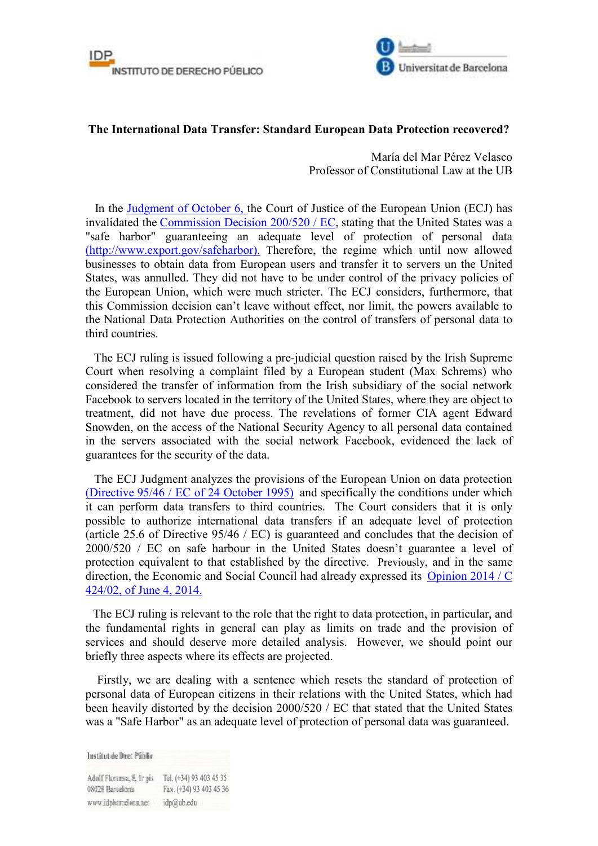



## **The International Data Transfer: Standard European Data Protection recovered?**

María del Mar Pérez Velasco Professor of Constitutional Law at the UB

 In the Judgment of October 6, the Court of Justice of the European Union (ECJ) has invalidated the Commission Decision 200/520 / EC, stating that the United States was a "safe harbor" guaranteeing an adequate level of protection of personal data (http://www.export.gov/safeharbor). Therefore, the regime which until now allowed businesses to obtain data from European users and transfer it to servers un the United States, was annulled. They did not have to be under control of the privacy policies of the European Union, which were much stricter. The ECJ considers, furthermore, that this Commission decision can't leave without effect, nor limit, the powers available to the National Data Protection Authorities on the control of transfers of personal data to third countries.

 The ECJ ruling is issued following a pre-judicial question raised by the Irish Supreme Court when resolving a complaint filed by a European student (Max Schrems) who considered the transfer of information from the Irish subsidiary of the social network Facebook to servers located in the territory of the United States, where they are object to treatment, did not have due process. The revelations of former CIA agent Edward Snowden, on the access of the National Security Agency to all personal data contained in the servers associated with the social network Facebook, evidenced the lack of guarantees for the security of the data.

 The ECJ Judgment analyzes the provisions of the European Union on data protection (Directive 95/46 / EC of 24 October 1995) and specifically the conditions under which it can perform data transfers to third countries. The Court considers that it is only possible to authorize international data transfers if an adequate level of protection (article 25.6 of Directive 95/46 / EC) is guaranteed and concludes that the decision of 2000/520 / EC on safe harbour in the United States doesn't guarantee a level of protection equivalent to that established by the directive. Previously, and in the same direction, the Economic and Social Council had already expressed its Opinion 2014 / C 424/02, of June 4, 2014.

 The ECJ ruling is relevant to the role that the right to data protection, in particular, and the fundamental rights in general can play as limits on trade and the provision of services and should deserve more detailed analysis. However, we should point our briefly three aspects where its effects are projected.

 Firstly, we are dealing with a sentence which resets the standard of protection of personal data of European citizens in their relations with the United States, which had been heavily distorted by the decision 2000/520 / EC that stated that the United States was a "Safe Harbor" as an adequate level of protection of personal data was guaranteed.

**Institut de Dret Públic** 

Adolf Florensa, 8, Ir pis Tel. (+34) 93 403 45 35 Fax. (+34) 93 403 45 36 08028 Barcelona www.idpbarcelona.net idp@ub.edu